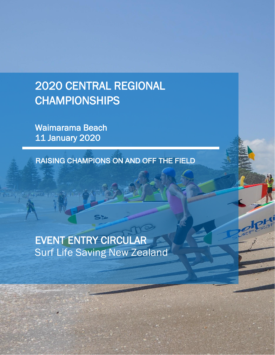# 2020 CENTRAL REGIONAL CHAMPIONSHIPS

Waimarama Beach 11 January 2020

RAISING CHAMPIONS ON AND OFF THE FIELD

# EVENT ENTRY CIRCULAR Surf Life Saving New Zealand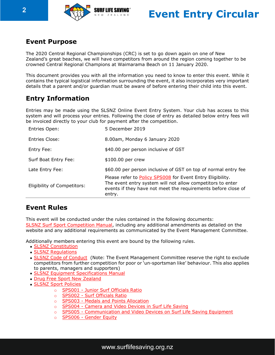



## **Event Purpose**

The 2020 Central Regional Championships (CRC) is set to go down again on one of New Zealand's great beaches, we will have competitors from around the region coming together to be crowned Central Regional Champions at Waimarama Beach on 11 January 2020.

This document provides you with all the information you need to know to enter this event. While it contains the typical logistical information surrounding the event, it also incorporates very important details that a parent and/or guardian must be aware of before entering their child into this event.

# **Entry Information**

Entries may be made using the SLSNZ Online Event Entry System. Your club has access to this system and will process your entries. Following the close of entry as detailed below entry fees will be invoiced directly to your club for payment after the competition.

| Eligibility of Competitors: | Please refer to <b>Policy SPS008</b> for Event Entry Eligibility.<br>The event entry system will not allow competitors to enter<br>events if they have not meet the requirements before close of<br>entry. |
|-----------------------------|------------------------------------------------------------------------------------------------------------------------------------------------------------------------------------------------------------|
| Late Entry Fee:             | \$60.00 per person inclusive of GST on top of normal entry fee                                                                                                                                             |
| Surf Boat Entry Fee:        | \$100.00 per crew                                                                                                                                                                                          |
| Entry Fee:                  | \$40.00 per person inclusive of GST                                                                                                                                                                        |
| Entries Close:              | 8.00am, Monday 6 January 2020                                                                                                                                                                              |
| Entries Open:               | 5 December 2019                                                                                                                                                                                            |

## **Event Rules**

This event will be conducted under the rules contained in the following documents: [SLSNZ Surf Sport Competition Manual,](http://www.surflifesaving.org.nz/sport/about-us/surf-sport-manual/) including any additional amendments as detailed on the website and any additional requirements as communicated by the Event Management Committee.

Additionally members entering this event are bound by the following rules.

- **SLSNZ [Constitution](http://www.surflifesaving.org.nz/organisation/about-us/management-documents/)**
- SLSNZ [Regulations](http://www.surflifesaving.org.nz/organisation/about-us/management-documents/)
- SLSNZ Code of [Conduct](http://www.surflifesaving.org.nz/organisation/about-us/management-documents/) (Note: The Event Management Committee reserve the right to exclude competitors from further competition for poor or 'un-sportsman like' behaviour. This also applies to parents, managers and supporters)
- [SLSNZ Equipment Specifications](https://www.surflifesaving.org.nz/media/937887/EquipmentSpecificationManual_September2017.pdf) Manual
- [Drug Free Sport New](https://www.surflifesaving.org.nz/media/937887/EquipmentSpecificationManual_September2017.pdf) Zealand
- [SLSNZ Sport Policies](http://www.surflifesaving.org.nz/sport/about-us/sport-policies/)
	- o SPS001 [Junior Surf Officials](https://www.surflifesaving.org.nz/media/618788/SS001-Junior-Surf-Officials-Ratio-Policy_2015.pdf) Ratio
	- o **SPS002 [Surf Officials](https://www.surflifesaving.org.nz/media/618791/SS002-Surf-Officials-Ratio-Policy_2015.pdf) Ratio**
	- o **SPS003 [Medals and Points](https://www.surflifesaving.org.nz/media/799715/SPS003-Medal-and-Points-Allocation-Policy_2016.pdf) Allocation**
	- o SPS004 [Camera and Video Devices in Surf Life](https://www.surflifesaving.org.nz/media/618764/SS004-Camera-and-Video-Devices-in-Surf-Life-Saving_2015.pdf) Saving
	- o SPS005 [Communication and Video Devices on Surf Life Saving](https://www.surflifesaving.org.nz/media/618767/SS005-Communication-and-Video-Devices-on-Surf-Life-Saving-Equipment_2015.pdf) Equipment
	- o [SPS006 -](https://www.surflifesaving.org.nz/media/620215/SS006-Gender-Equity.pdf) Gender Equity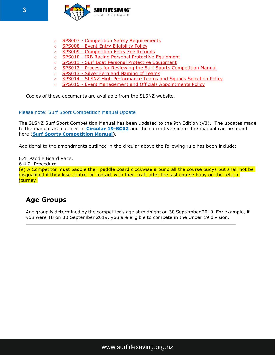

- o **SPS007 [Competition Safety](https://www.surflifesaving.org.nz/media/620218/SS007-Competition-Safety-Requirements.pdf) Requirements**
- o SPS008 [Event Entry Eligibility Policy](https://www.surflifesaving.org.nz/media/975770/SPS008-Event-Entry-Eligibility-Policy.pdf)
- o SPS009 [Competition Entry Fee](https://www.surflifesaving.org.nz/media/620224/SS009-Competition-Entry-Fee-Refunds.pdf) Refunds
- o SPS010 [IRB Racing Personal Protective](https://www.surflifesaving.org.nz/media/911896/SPS010-IRB-Racing-Personal-Protective-Equipment_Updated-Sep-2017.pdf) Equipment
- o SPS011 [Surf Boat Personal Protective](https://www.surflifesaving.org.nz/media/660030/SPS011-Surf-Boat-Personal-Protective-Equipment.pdf) Equipment
- o SPS012 [Process for Reviewing the Surf Sports Competition](https://www.surflifesaving.org.nz/media/709166/SPS012-Process-for-Reviewing-the-Surf-Sport-Competition-Manual.pdf) Manual
- o SPS013 [Silver Fern and Naming of](https://www.surflifesaving.org.nz/media/827859/SPS013-Silver-Fern-and-Naming-of-Teams-Policy.pdf) Teams
- o SPS014 [SLSNZ High Performance Teams and Squads Selection](https://www.surflifesaving.org.nz/media/956656/SPS014-SLSNZ-High-Performance-Selection-Policy.pdf) Policy
- o SPS015 [Event Management and Officials Appointments](https://www.surflifesaving.org.nz/media/972113/SPS015-Event-Management-and-Officials-Appointments-Policy.pdf) Policy

Copies of these documents are available from the SLSNZ website.

#### Please note: Surf Sport Competition Manual Update

The SLSNZ Surf Sport Competition Manual has been updated to the 9th Edition (V3). The updates made to the manual are outlined in **[Circular 19-SC02](https://surflifesavingnewzealand.createsend1.com/t/j-l-cjjuyut-l-u/)** and the current version of the manual can be found here (**[Surf Sports Competition Manual](https://surflifesavingnewzealand.createsend1.com/t/j-l-cjjuyut-l-o/)**).

Additional to the amendments outlined in the circular above the following rule has been include:

6.4. Paddle Board Race.

6.4.2. Procedure

(e) A Competitor must paddle their paddle board clockwise around all the course buoys but shall not be disqualified if they lose control or contact with their craft after the last course buoy on the return journey.

# **Age Groups**

Age group is determined by the competitor's age at midnight on 30 September 2019. For example, if you were 18 on 30 September 2019, you are eligible to compete in the Under 19 division.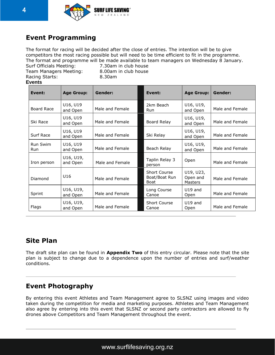

# **Event Programming**

The format for racing will be decided after the close of entries. The intention will be to give competitors the most racing possible but will need to be time efficient to fit in the programme. The format and programme will be made available to team managers on Wednesday 8 January.

Team Managers Meeting: 8.00am in club house Racing Starts: 8.30am **Events**

Surf Officials Meeting: 7.30am in club house

| Event:                 | <b>Age Group:</b>     | Gender:         | Event:                                       | <b>Age Group:</b>                | Gender:         |
|------------------------|-----------------------|-----------------|----------------------------------------------|----------------------------------|-----------------|
| Board Race             | U16, U19<br>and Open  | Male and Female | 2km Beach<br>Run                             | U16, U19,<br>and Open            | Male and Female |
| Ski Race               | U16, U19<br>and Open  | Male and Female | Board Relay                                  | U16, U19,<br>and Open            | Male and Female |
| Surf Race              | U16, U19<br>and Open  | Male and Female | Ski Relay                                    | U16, U19,<br>and Open            | Male and Female |
| Run Swim<br><b>Run</b> | U16, U19<br>and Open  | Male and Female | Beach Relay                                  | U16, U19,<br>and Open            | Male and Female |
| Iron person            | U16, U19,<br>and Open | Male and Female | Taplin Relay 3<br>person                     | Open                             | Male and Female |
| Diamond                | U <sub>16</sub>       | Male and Female | <b>Short Course</b><br>Boat/Boat Run<br>Boat | U19, U23,<br>Open and<br>Masters | Male and Female |
| Sprint                 | U16, U19,<br>and Open | Male and Female | Long Course<br>Canoe                         | $U19$ and<br>Open                | Male and Female |
| Flags                  | U16, U19,<br>and Open | Male and Female | <b>Short Course</b><br>Canoe                 | $U19$ and<br>Open                | Male and Female |

# **Site Plan**

The draft site plan can be found in **Appendix Two** of this entry circular. Please note that the site plan is subject to change due to a dependence upon the number of entries and surf/weather conditions.

# **Event Photography**

By entering this event Athletes and Team Management agree to SLSNZ using images and video taken during the competition for media and marketing purposes. Athletes and Team Management also agree by entering into this event that SLSNZ or second party contractors are allowed to fly drones above Competitors and Team Management throughout the event.

## [www.surflifesaving.org.nz](http://www.surflifesaving.org.nz/)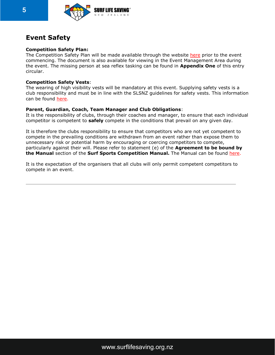

## **Event Safety**

#### **Competition Safety Plan:**

The Competition Safety Plan will be made available through the website [here](https://www.surflifesaving.org.nz/calendar/2019/january/2019-central-regional-championships) prior to the event commencing. The document is also available for viewing in the Event Management Area during the event. The missing person at sea reflex tasking can be found in **Appendix One** of this entry circular.

#### **Competition Safety Vests**:

The wearing of high visibility vests will be mandatory at this event. Supplying safety vests is a club responsibility and must be in line with the SLSNZ guidelines for safety vests. This information can be found [here.](http://www.surflifesaving.org.nz/clubhouse/slsnzhighvisibilityvests)

#### **Parent, Guardian, Coach, Team Manager and Club Obligations**:

It is the responsibility of clubs, through their coaches and manager, to ensure that each individual competitor is competent to **safely** compete in the conditions that prevail on any given day.

It is therefore the clubs responsibility to ensure that competitors who are not yet competent to compete in the prevailing conditions are withdrawn from an event rather than expose them to unnecessary risk or potential harm by encouraging or coercing competitors to compete, particularly against their will. Please refer to statement (e) of the **Agreement to be bound by the Manual** section of the **Surf Sports Competition Manual.** The Manual can be found [here.](http://www.surflifesaving.org.nz/sport/about-us/surf-sport-manual/)

It is the expectation of the organisers that all clubs will only permit competent competitors to compete in an event.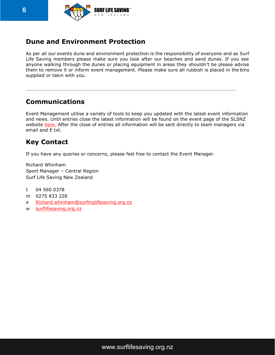

# **Dune and Environment Protection**

As per all our events dune and environment protection is the responsibility of everyone and as Surf Life Saving members please make sure you look after our beaches and sand dunes. If you see anyone walking through the dunes or placing equipment in areas they shouldn't be please advise them to remove it or inform event management. Please make sure all rubbish is placed in the bins supplied or takin with you.

# **Communications**

Event Management utilise a variety of tools to keep you updated with the latest event information and news. Until entries close the latest information will be found on the event page of the SLSNZ website [here.](https://www.surflifesaving.org.nz/calendar/2019/january/2019-central-regional-championships) After the close of entries all information will be sent directly to team managers via email and E txt.

# **Key Contact**

If you have any queries or concerns, please feel free to contact the Event Manager.

Richard Whinham Sport Manager – Central Region Surf Life Saving New Zealand

- t 04 560 0378
- m 0275 833 228
- e [Richard.whinham@surfinglifesaving.org.nz](mailto:Richard.whinham@surfinglifesaving.org.nz)
- w [surflifesaving.org.nz](http://surflifesaving.org.nz/)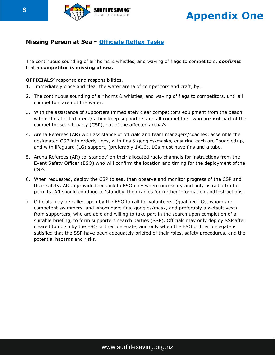

# **Appendix One**

### **Missing Person at Sea - Officials Reflex Tasks**

The continuous sounding of air horns & whistles, and waving of flags to competitors, *confirms* that a **competitor is missing at sea.**

**OFFICIALS'** response and responsibilities.

- 1. Immediately close and clear the water arena of competitors and craft, by…
- 2. The continuous sounding of air horns & whistles, and waving of flags to competitors, until all competitors are out the water.
- 3. With the assistance of supporters immediately clear competitor's equipment from the beach within the affected arena/s then keep supporters and all competitors, who are **not** part of the competitor search party (CSP), out of the affected arena/s.
- 4. Arena Referees (AR) with assistance of officials and team managers/coaches, assemble the designated CSP into orderly lines, with fins & goggles/masks, ensuring each are "buddied up," and with lifeguard (LG) support, (preferably 1X10). LGs must have fins and a tube.
- 5. Arena Referees (AR) to 'standby' on their allocated radio channels for instructions from the Event Safety Officer (ESO) who will confirm the location and timing for the deployment of the CSPs.
- 6. When requested, deploy the CSP to sea, then observe and monitor progress of the CSP and their safety. AR to provide feedback to ESO only where necessary and only as radio traffic permits. AR should continue to 'standby' their radios for further information and instructions.
- 7. Officials may be called upon by the ESO to call for volunteers, (qualified LGs, whom are competent swimmers, and whom have fins, goggles/mask, and preferably a wetsuit vest) from supporters, who are able and willing to take part in the search upon completion of a suitable briefing, to form supporters search parties (SSP). Officials may only deploy SSP after cleared to do so by the ESO or their delegate, and only when the ESO or their delegate is satisfied that the SSP have been adequately briefed of their roles, safety procedures, and the potential hazards and risks.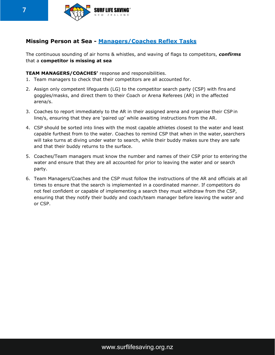

### **Missing Person at Sea - Managers/Coaches Reflex Tasks**

The continuous sounding of air horns & whistles, and waving of flags to competitors, *confirms* that a **competitor is missing at sea**

#### **TEAM MANAGERS/COACHES'** response and responsibilities.

- 1. Team managers to check that their competitors are all accounted for.
- 2. Assign only competent lifeguards (LG) to the competitor search party (CSP) with fins and goggles/masks, and direct them to their Coach or Arena Referees (AR) in the affected arena/s.
- 3. Coaches to report immediately to the AR in their assigned arena and organise their CSP in line/s, ensuring that they are 'paired up' while awaiting instructions from the AR.
- 4. CSP should be sorted into lines with the most capable athletes closest to the water and least capable furthest from to the water. Coaches to remind CSP that when in the water, searchers will take turns at diving under water to search, while their buddy makes sure they are safe and that their buddy returns to the surface.
- 5. Coaches/Team managers must know the number and names of their CSP prior to entering the water and ensure that they are all accounted for prior to leaving the water and or search party.
- 6. Team Managers/Coaches and the CSP must follow the instructions of the AR and officials at all times to ensure that the search is implemented in a coordinated manner. If competitors do not feel confident or capable of implementing a search they must withdraw from the CSP, ensuring that they notify their buddy and coach/team manager before leaving the water and or CSP.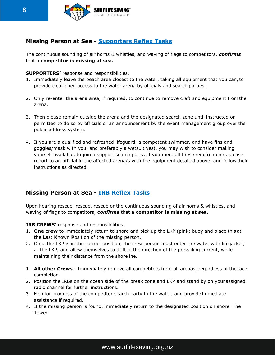

### **Missing Person at Sea - Supporters Reflex Tasks**

The continuous sounding of air horns & whistles, and waving of flags to competitors, *confirms* that a **competitor is missing at sea.**

**SUPPORTERS'** response and responsibilities.

- 1. Immediately leave the beach area closest to the water, taking all equipment that you can,to provide clear open access to the water arena by officials and search parties.
- 2. Only re-enter the arena area, if required, to continue to remove craft and equipment from the arena.
- 3. Then please remain outside the arena and the designated search zone until instructed or permitted to do so by officials or an announcement by the event management group over the public address system.
- 4. If you are a qualified and refreshed lifeguard, a competent swimmer, and have fins and goggles/mask with you, and preferably a wetsuit vest, you may wish to consider making yourself available, to join a support search party. If you meet all these requirements, please report to an official in the affected arena/s with the equipment detailed above, and follow their instructions as directed.

## **Missing Person at Sea - IRB Reflex Tasks**

Upon hearing rescue, rescue, rescue or the continuous sounding of air horns & whistles, and waving of flags to competitors, *confirms* that a **competitor is missing at sea.**

**IRB CREWS'** response and responsibilities.

- 1. **One crew** to immediately return to shore and pick up the LKP (pink) buoy and place this at the **L**ast **K**nown **P**osition of the missing person.
- 2. Once the LKP is in the correct position, the crew person must enter the water with life jacket, at the LKP, and allow themselves to drift in the direction of the prevailing current, while maintaining their distance from the shoreline.
- 1. **All other Crews**  Immediately remove all competitors from all arenas, regardless of the race completion.
- 2. Position the IRBs on the ocean side of the break zone and LKP and stand by on yourassigned radio channel for further instructions.
- 3. Monitor progress of the competitor search party in the water, and provide immediate assistance if required.
- 4. If the missing person is found, immediately return to the designated position on shore. The Tower.

## [www.surflifesaving.org.nz](http://www.surflifesaving.org.nz/)